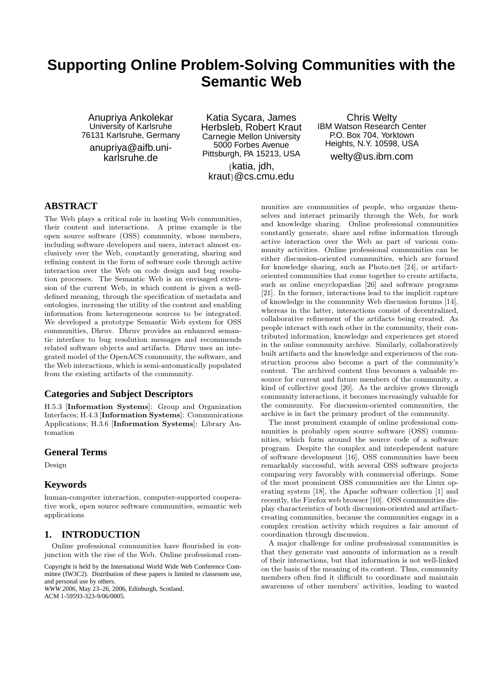# **Supporting Online Problem-Solving Communities with the Semantic Web**

Anupriya Ankolekar University of Karlsruhe 76131 Karlsruhe, Germany anupriya@aifb.unikarlsruhe.de

Katia Sycara, James Herbsleb, Robert Kraut Carnegie Mellon University 5000 Forbes Avenue Pittsburgh, PA 15213, USA {katia, jdh,

kraut}@cs.cmu.edu

Chris Welty IBM Watson Research Center P.O. Box 704, Yorktown Heights, N.Y. 10598, USA

welty@us.ibm.com

# **ABSTRACT**

The Web plays a critical role in hosting Web communities, their content and interactions. A prime example is the open source software (OSS) community, whose members, including software developers and users, interact almost exclusively over the Web, constantly generating, sharing and refining content in the form of software code through active interaction over the Web on code design and bug resolution processes. The Semantic Web is an envisaged extension of the current Web, in which content is given a welldefined meaning, through the specification of metadata and ontologies, increasing the utility of the content and enabling information from heterogeneous sources to be integrated. We developed a prototype Semantic Web system for OSS communities, Dhruv. Dhruv provides an enhanced semantic interface to bug resolution messages and recommends related software objects and artifacts. Dhruv uses an integrated model of the OpenACS community, the software, and the Web interactions, which is semi-automatically populated from the existing artifacts of the community.

## **Categories and Subject Descriptors**

H.5.3 [Information Systems]: Group and Organization Interfaces; H.4.3 [Information Systems]: Communications Applications; H.3.6 [Information Systems]: Library Automation

### **General Terms**

Design

### **Keywords**

human-computer interaction, computer-supported cooperative work, open source software communities, semantic web applications

# **1. INTRODUCTION**

Online professional communities have flourished in conjunction with the rise of the Web. Online professional com-

Copyright is held by the International World Wide Web Conference Committee (IW3C2). Distribution of these papers is limited to classroom use, and personal use by others.

*WWW 2006*, May 23–26, 2006, Edinburgh, Scotland. ACM 1-59593-323-9/06/0005.

munities are communities of people, who organize themselves and interact primarily through the Web, for work and knowledge sharing. Online professional communities constantly generate, share and refine information through active interaction over the Web as part of various community activities. Online professional communities can be either discussion-oriented communities, which are formed for knowledge sharing, such as Photo.net [24], or artifactoriented communities that come together to create artifacts, such as online encyclopædias [26] and software programs [21]. In the former, interactions lead to the implicit capture of knowledge in the community Web discussion forums [14], whereas in the latter, interactions consist of decentralized, collaborative refinement of the artifacts being created. As people interact with each other in the community, their contributed information, knowledge and experiences get stored in the online community archive. Similarly, collaboratively built artifacts and the knowledge and experiences of the construction process also become a part of the community's content. The archived content thus becomes a valuable resource for current and future members of the community, a kind of collective good [20]. As the archive grows through community interactions, it becomes increasingly valuable for the community. For discussion-oriented communities, the archive is in fact the primary product of the community.

The most prominent example of online professional communities is probably open source software (OSS) communities, which form around the source code of a software program. Despite the complex and interdependent nature of software development [16], OSS communities have been remarkably successful, with several OSS software projects comparing very favorably with commercial offerings. Some of the most prominent OSS communities are the Linux operating system [18], the Apache software collection [1] and recently, the Firefox web browser [10]. OSS communities display characteristics of both discussion-oriented and artifactcreating communities, because the communities engage in a complex creation activity which requires a fair amount of coordination through discussion.

A major challenge for online professional communities is that they generate vast amounts of information as a result of their interactions, but that information is not well-linked on the basis of the meaning of its content. Thus, community members often find it difficult to coordinate and maintain awareness of other members' activities, leading to wasted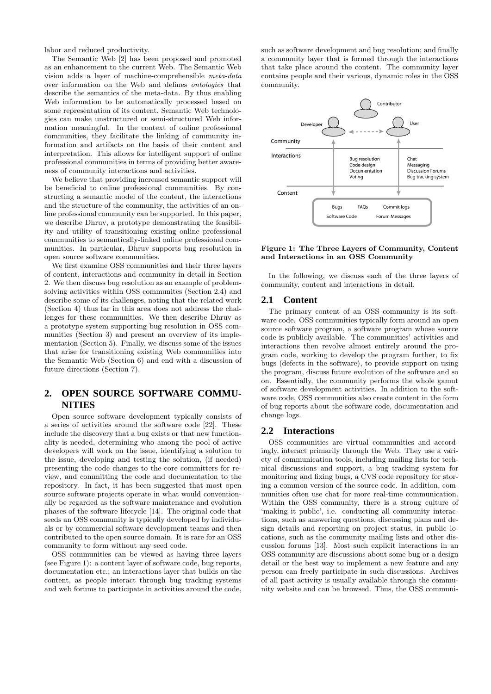labor and reduced productivity.

The Semantic Web [2] has been proposed and promoted as an enhancement to the current Web. The Semantic Web vision adds a layer of machine-comprehensible meta-data over information on the Web and defines ontologies that describe the semantics of the meta-data. By thus enabling Web information to be automatically processed based on some representation of its content, Semantic Web technologies can make unstructured or semi-structured Web information meaningful. In the context of online professional communities, they facilitate the linking of community information and artifacts on the basis of their content and interpretation. This allows for intelligent support of online professional communities in terms of providing better awareness of community interactions and activities.

We believe that providing increased semantic support will be beneficial to online professional communities. By constructing a semantic model of the content, the interactions and the structure of the community, the activities of an online professional community can be supported. In this paper, we describe Dhruv, a prototype demonstrating the feasibility and utility of transitioning existing online professional communities to semantically-linked online professional communities. In particular, Dhruv supports bug resolution in open source software communities.

We first examine OSS communities and their three layers of content, interactions and community in detail in Section 2. We then discuss bug resolution as an example of problemsolving activities within OSS communites (Section 2.4) and describe some of its challenges, noting that the related work (Section 4) thus far in this area does not address the challenges for these communities. We then describe Dhruv as a prototype system supporting bug resolution in OSS communities (Section 3) and present an overview of its implementation (Section 5). Finally, we discuss some of the issues that arise for transitioning existing Web communities into the Semantic Web (Section 6) and end with a discussion of future directions (Section 7).

# **2. OPEN SOURCE SOFTWARE COMMU-NITIES**

Open source software development typically consists of a series of activities around the software code [22]. These include the discovery that a bug exists or that new functionality is needed, determining who among the pool of active developers will work on the issue, identifying a solution to the issue, developing and testing the solution, (if needed) presenting the code changes to the core committers for review, and committing the code and documentation to the repository. In fact, it has been suggested that most open source software projects operate in what would conventionally be regarded as the software maintenance and evolution phases of the software lifecycle [14]. The original code that seeds an OSS community is typically developed by individuals or by commercial software development teams and then contributed to the open source domain. It is rare for an OSS community to form without any seed code.

OSS communities can be viewed as having three layers (see Figure 1): a content layer of software code, bug reports, documentation etc.; an interactions layer that builds on the content, as people interact through bug tracking systems and web forums to participate in activities around the code,

such as software development and bug resolution; and finally a community layer that is formed through the interactions that take place around the content. The community layer contains people and their various, dynamic roles in the OSS community.



Figure 1: The Three Layers of Community, Content and Interactions in an OSS Community

In the following, we discuss each of the three layers of community, content and interactions in detail.

## **2.1 Content**

The primary content of an OSS community is its software code. OSS communities typically form around an open source software program, a software program whose source code is publicly available. The communities' activities and interactions then revolve almost entirely around the program code, working to develop the program further, to fix bugs (defects in the software), to provide support on using the program, discuss future evolution of the software and so on. Essentially, the community performs the whole gamut of software development activities. In addition to the software code, OSS communities also create content in the form of bug reports about the software code, documentation and change logs.

### **2.2 Interactions**

OSS communities are virtual communities and accordingly, interact primarily through the Web. They use a variety of communication tools, including mailing lists for technical discussions and support, a bug tracking system for monitoring and fixing bugs, a CVS code repository for storing a common version of the source code. In addition, communities often use chat for more real-time communication. Within the OSS community, there is a strong culture of 'making it public', i.e. conducting all community interactions, such as answering questions, discussing plans and design details and reporting on project status, in public locations, such as the community mailing lists and other discussion forums [13]. Most such explicit interactions in an OSS community are discussions about some bug or a design detail or the best way to implement a new feature and any person can freely participate in such discussions. Archives of all past activity is usually available through the community website and can be browsed. Thus, the OSS communi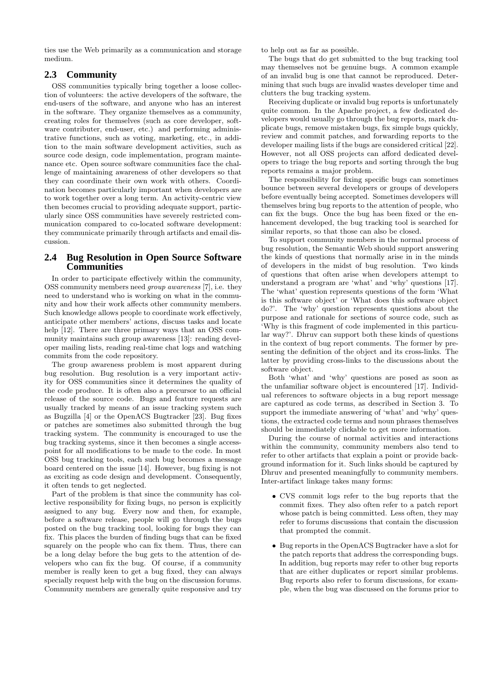ties use the Web primarily as a communication and storage medium.

# **2.3 Community**

OSS communities typically bring together a loose collection of volunteers: the active developers of the software, the end-users of the software, and anyone who has an interest in the software. They organize themselves as a community, creating roles for themselves (such as core developer, software contributer, end-user, etc.) and performing administrative functions, such as voting, marketing, etc., in addition to the main software development activities, such as source code design, code implementation, program maintenance etc. Open source software communities face the challenge of maintaining awareness of other developers so that they can coordinate their own work with others. Coordination becomes particularly important when developers are to work together over a long term. An activity-centric view then becomes crucial to providing adequate support, particularly since OSS communities have severely restricted communication compared to co-located software development: they communicate primarily through artifacts and email discussion.

# **2.4 Bug Resolution in Open Source Software Communities**

In order to participate effectively within the community, OSS community members need group awareness [7], i.e. they need to understand who is working on what in the community and how their work affects other community members. Such knowledge allows people to coordinate work effectively, anticipate other members' actions, discuss tasks and locate help  $[12]$ . There are three primary ways that an OSS community maintains such group awareness [13]: reading developer mailing lists, reading real-time chat logs and watching commits from the code repository.

The group awareness problem is most apparent during bug resolution. Bug resolution is a very important activity for OSS communities since it determines the quality of the code produce. It is often also a precursor to an official release of the source code. Bugs and feature requests are usually tracked by means of an issue tracking system such as Bugzilla [4] or the OpenACS Bugtracker [23]. Bug fixes or patches are sometimes also submitted through the bug tracking system. The community is encouraged to use the bug tracking systems, since it then becomes a single accesspoint for all modifications to be made to the code. In most OSS bug tracking tools, each such bug becomes a message board centered on the issue [14]. However, bug fixing is not as exciting as code design and development. Consequently, it often tends to get neglected.

Part of the problem is that since the community has collective responsibility for fixing bugs, no person is explicitly assigned to any bug. Every now and then, for example, before a software release, people will go through the bugs posted on the bug tracking tool, looking for bugs they can fix. This places the burden of finding bugs that can be fixed squarely on the people who can fix them. Thus, there can be a long delay before the bug gets to the attention of developers who can fix the bug. Of course, if a community member is really keen to get a bug fixed, they can always specially request help with the bug on the discussion forums. Community members are generally quite responsive and try

to help out as far as possible.

The bugs that do get submitted to the bug tracking tool may themselves not be genuine bugs. A common example of an invalid bug is one that cannot be reproduced. Determining that such bugs are invalid wastes developer time and clutters the bug tracking system.

Receiving duplicate or invalid bug reports is unfortunately quite common. In the Apache project, a few dedicated developers would usually go through the bug reports, mark duplicate bugs, remove mistaken bugs, fix simple bugs quickly, review and commit patches, and forwarding reports to the developer mailing lists if the bugs are considered critical [22]. However, not all OSS projects can afford dedicated developers to triage the bug reports and sorting through the bug reports remains a major problem.

The responsibility for fixing specific bugs can sometimes bounce between several developers or groups of developers before eventually being accepted. Sometimes developers will themselves bring bug reports to the attention of people, who can fix the bugs. Once the bug has been fixed or the enhancement developed, the bug tracking tool is searched for similar reports, so that those can also be closed.

To support community members in the normal process of bug resolution, the Semantic Web should support answering the kinds of questions that normally arise in in the minds of developers in the midst of bug resolution. Two kinds of questions that often arise when developers attempt to understand a program are 'what' and 'why' questions [17]. The 'what' question represents questions of the form 'What is this software object' or 'What does this software object do?'. The 'why' question represents questions about the purpose and rationale for sections of source code, such as 'Why is this fragment of code implemented in this particular way?'. Dhruv can support both these kinds of questions in the context of bug report comments. The former by presenting the definition of the object and its cross-links. The latter by providing cross-links to the discussions about the software object.

Both 'what' and 'why' questions are posed as soon as the unfamiliar software object is encountered [17]. Individual references to software objects in a bug report message are captured as code terms, as described in Section 3. To support the immediate answering of 'what' and 'why' questions, the extracted code terms and noun phrases themselves should be immediately clickable to get more information.

During the course of normal activities and interactions within the community, community members also tend to refer to other artifacts that explain a point or provide background information for it. Such links should be captured by Dhruv and presented meaningfully to community members. Inter-artifact linkage takes many forms:

- CVS commit logs refer to the bug reports that the commit fixes. They also often refer to a patch report whose patch is being committed. Less often, they may refer to forums discussions that contain the discussion that prompted the commit.
- Bug reports in the OpenACS Bugtracker have a slot for the patch reports that address the corresponding bugs. In addition, bug reports may refer to other bug reports that are either duplicates or report similar problems. Bug reports also refer to forum discussions, for example, when the bug was discussed on the forums prior to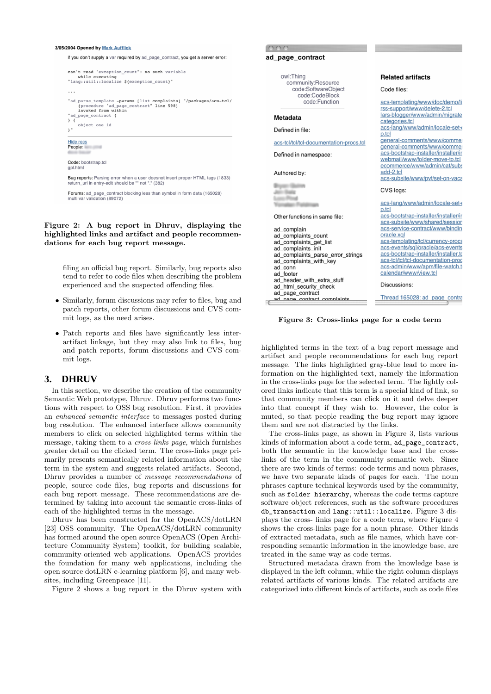#### 3/05/2004 Opened by Mark Aufflick

if you don't supply a var required by ad\_page\_contract, you get a server error: can't read "exception\_count": no such variable<br>while executing<br>"lang::util::localize \${exception\_count}" "ad\_parse\_template -params [list complaints] "/packages/acs-tcl/<br>(procedure "ad\_page\_contract" line 598)<br>invoked from within<br>"ad\_page\_contract {  $\frac{1}{\sqrt{2}}$ object\_one\_id  $\}$  " **Hide recs** People: Code: bootstrap.tcl apl.htm Bug reports: Parsing error when a user doesnot insert proper HTML tags (1833) return\_url in entry-edit should be "" not "." (382) Forums: ad page contract blocking less than symbol in form data (165028) multi var validation (89072)

### Figure 2: A bug report in Dhruv, displaying the highlighted links and artifact and people recommendations for each bug report message.

filing an official bug report. Similarly, bug reports also tend to refer to code files when describing the problem experienced and the suspected offending files.

- Similarly, forum discussions may refer to files, bug and patch reports, other forum discussions and CVS commit logs, as the need arises.
- Patch reports and files have significantly less interartifact linkage, but they may also link to files, bug and patch reports, forum discussions and CVS commit logs.

### **3. DHRUV**

In this section, we describe the creation of the community Semantic Web prototype, Dhruv. Dhruv performs two functions with respect to OSS bug resolution. First, it provides an enhanced semantic interface to messages posted during bug resolution. The enhanced interface allows community members to click on selected highlighted terms within the message, taking them to a cross-links page, which furnishes greater detail on the clicked term. The cross-links page primarily presents semantically related information about the term in the system and suggests related artifacts. Second, Dhruv provides a number of message recommendations of people, source code files, bug reports and discussions for each bug report message. These recommendations are determined by taking into account the semantic cross-links of each of the highlighted terms in the message.

Dhruv has been constructed for the OpenACS/dotLRN [23] OSS community. The OpenACS/dotLRN community has formed around the open source OpenACS (Open Architecture Community System) toolkit, for building scalable, community-oriented web applications. OpenACS provides the foundation for many web applications, including the open source dotLRN e-learning platform [6], and many websites, including Greenpeace [11].

Figure 2 shows a bug report in the Dhruv system with

# ad\_page\_contract

owl:Thing community:Resource code:SoftwareObject code:CodeBlock code:Function

### Metadata

### Defined in file:

acs-tcl/tcl/tcl-documentation-procs.tcl

Defined in namespace:

#### Authored by:

**Brown Stat** Louis River

#### Other functions in same file:

| ad complain                       |
|-----------------------------------|
| ad complaints count               |
| ad_complaints_get_list            |
| ad complaints init                |
| ad_complaints_parse_error_strings |
| ad complaints with key            |
| ad conn                           |
| ad footer                         |
| ad header with extra stuff        |
| ad html security check            |
| ad page contract                  |
| ad nage contract complaints       |
|                                   |

#### **Related artifacts**

Code files:

acs-templating/www/doc/demo/li rss-support/www/delete-2.tcl lars-blogger/www/admin/migrate categories.tcl acs-lang/www/admin/locale-set $p.tc$ general-comments/www/commer general-comments/www/commer acs-bootstrap-installer/installer/in webmail/www/folder-move-to.tcl ecommerce/www/admin/cat/subs add-2.tcl acs-subsite/www/pvt/set-on-vaca CVS logs: acs-lang/www/admin/locale-setp.tcl acs-bootstrap-installer/installer/ir acs-subsite/www/shared/session acs-service-contract/www/bindin oracle.xql acs-templating/tcl/currency-procs acs-events/sql/oracle/acs-events acs-bootstrap-installer/installer.to acs-tel/tel/tel-documentation-proc acs-admin/www/apm/file-watch.t calendar/www/view.tcl **Discussions** 

Thread 165028: ad page contra

### Figure 3: Cross-links page for a code term

highlighted terms in the text of a bug report message and artifact and people recommendations for each bug report message. The links highlighted gray-blue lead to more information on the highlighted text, namely the information in the cross-links page for the selected term. The lightly colored links indicate that this term is a special kind of link, so that community members can click on it and delve deeper into that concept if they wish to. However, the color is muted, so that people reading the bug report may ignore them and are not distracted by the links.

The cross-links page, as shown in Figure 3, lists various kinds of information about a code term, ad\_page\_contract, both the semantic in the knowledge base and the crosslinks of the term in the community semantic web. Since there are two kinds of terms: code terms and noun phrases, we have two separate kinds of pages for each. The noun phrases capture technical keywords used by the community, such as folder hierarchy, whereas the code terms capture software object references, such as the software procedures db\_transaction and lang::util::localize. Figure 3 displays the cross- links page for a code term, where Figure 4 shows the cross-links page for a noun phrase. Other kinds of extracted metadata, such as file names, which have corresponding semantic information in the knowledge base, are treated in the same way as code terms.

Structured metadata drawn from the knowledge base is displayed in the left column, while the right column displays related artifacts of various kinds. The related artifacts are categorized into different kinds of artifacts, such as code files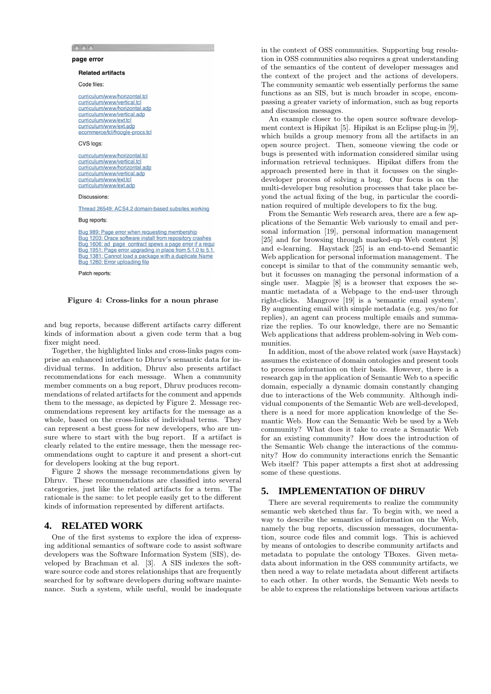#### $000$

#### page error

#### **Related artifacts**

Code files:

curriculum/www/horizontal.tcl curriculum/www/vertical.tcl curriculum/www/horizontal.adp curriculum/www/vertical.adp curriculum/www/ext.tcl curriculum/www/ext.adp<br>ecommerce/tcl/froogle-procs.tcl

#### CVS logs:

curriculum/www/horizontal.tcl curriculum/www/vertical.tcl curriculum/www/horizontal.adp curriculum/www/vertical.adp curriculum/www/ext.tcl curriculum/www/ext.adp

#### Discussions:

Thread 26549: ACS4.2 domain-based subsites working

### Bug reports:

Bug 989: Page error when requesting membership <u>Bug 1203: Orace software install from repository crashes</u> Bug 1606: ad page contract spews a page error if a regui Bug 1951: Page error upgrading in place from 5.1.0 to 5.1. Bug 1381: Cannot load a package with a duplicate Name Bug 1260: Error uploading file

Patch reports:

#### Figure 4: Cross-links for a noun phrase

and bug reports, because different artifacts carry different kinds of information about a given code term that a bug fixer might need.

Together, the highlighted links and cross-links pages comprise an enhanced interface to Dhruv's semantic data for individual terms. In addition, Dhruv also presents artifact recommendations for each message. When a community member comments on a bug report, Dhruv produces recommendations of related artifacts for the comment and appends them to the message, as depicted by Figure 2. Message recommendations represent key artifacts for the message as a whole, based on the cross-links of individual terms. They can represent a best guess for new developers, who are unsure where to start with the bug report. If a artifact is clearly related to the entire message, then the message recommendations ought to capture it and present a short-cut for developers looking at the bug report.

Figure 2 shows the message recommendations given by Dhruv. These recommendations are classified into several categories, just like the related artifacts for a term. The rationale is the same: to let people easily get to the different kinds of information represented by different artifacts.

### **4. RELATED WORK**

One of the first systems to explore the idea of expressing additional semantics of software code to assist software developers was the Software Information System (SIS), developed by Brachman et al. [3]. A SIS indexes the software source code and stores relationships that are frequently searched for by software developers during software maintenance. Such a system, while useful, would be inadequate in the context of OSS communities. Supporting bug resolution in OSS communities also requires a great understanding of the semantics of the content of developer messages and the context of the project and the actions of developers. The community semantic web essentially performs the same functions as an SIS, but is much broader in scope, encompassing a greater variety of information, such as bug reports and discussion messages.

An example closer to the open source software development context is Hipikat [5]. Hipikat is an Eclipse plug-in [9], which builds a group memory from all the artifacts in an open source project. Then, someone viewing the code or bugs is presented with information considered similar using information retrieval techniques. Hipikat differs from the approach presented here in that it focusses on the singledeveloper process of solving a bug. Our focus is on the multi-developer bug resolution processes that take place beyond the actual fixing of the bug, in particular the coordination required of multiple developers to fix the bug.

From the Semantic Web research area, there are a few applications of the Semantic Web variously to email and personal information [19], personal information management [25] and for browsing through marked-up Web content [8] and e-learning. Haystack [25] is an end-to-end Semantic Web application for personal information management. The concept is similar to that of the community semantic web, but it focusses on managing the personal information of a single user. Magpie [8] is a browser that exposes the semantic metadata of a Webpage to the end-user through right-clicks. Mangrove [19] is a 'semantic email system'. By augmenting email with simple metadata (e.g. yes/no for replies), an agent can process multiple emails and summarize the replies. To our knowledge, there are no Semantic Web applications that address problem-solving in Web communities.

In addition, most of the above related work (save Haystack) assumes the existence of domain ontologies and present tools to process information on their basis. However, there is a research gap in the application of Semantic Web to a specific domain, especially a dynamic domain constantly changing due to interactions of the Web community. Although individual components of the Semantic Web are well-developed, there is a need for more application knowledge of the Semantic Web. How can the Semantic Web be used by a Web community? What does it take to create a Semantic Web for an existing community? How does the introduction of the Semantic Web change the interactions of the community? How do community interactions enrich the Semantic Web itself? This paper attempts a first shot at addressing some of these questions.

# **5. IMPLEMENTATION OF DHRUV**

There are several requirements to realize the community semantic web sketched thus far. To begin with, we need a way to describe the semantics of information on the Web, namely the bug reports, discussion messages, documentation, source code files and commit logs. This is achieved by means of ontologies to describe community artifacts and metadata to populate the ontology TBoxes. Given metadata about information in the OSS community artifacts, we then need a way to relate metadata about different artifacts to each other. In other words, the Semantic Web needs to be able to express the relationships between various artifacts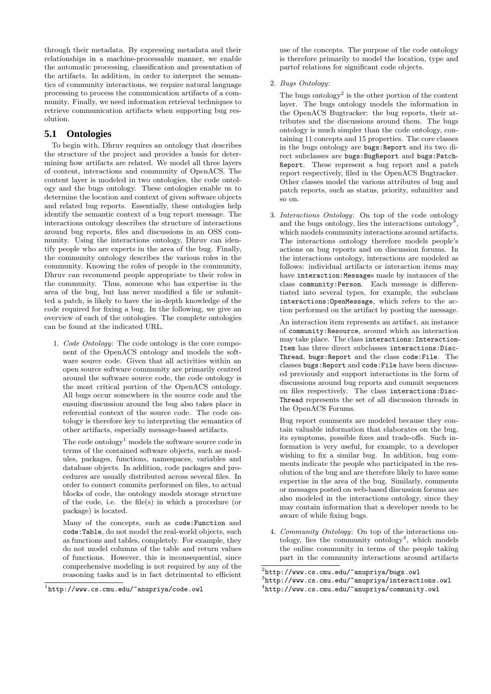through their metadata. By expressing metadata and their relationships in a machine-processable manner, we enable the automatic processing, classification and presentation of the artifacts. In addition, in order to interpret the semantics of community interactions, we require natural language processing to process the communication artifacts of a community. Finally, we need information retrieval techniques to retrieve communication artifacts when supporting bug resolution.

# **5.1 Ontologies**

To begin with, Dhruv requires an ontology that describes the structure of the project and provides a basis for determining how artifacts are related. We model all three layers of content, interactions and community of OpenACS. The content layer is modeled in two ontologies, the code ontology and the bugs ontology. These ontologies enable us to determine the location and context of given software objects and related bug reports. Essentially, these ontologies help identify the semantic context of a bug report message. The interactions ontology describes the structure of interactions around bug reports, files and discussions in an OSS community. Using the interactions ontology, Dhruv can identify people who are experts in the area of the bug. Finally, the community ontology describes the various roles in the community. Knowing the roles of people in the community, Dhruv can recommend people appropriate to their roles in the community. Thus, someone who has expertise in the area of the bug, but has never modified a file or submitted a patch, is likely to have the in-depth knowledge of the code required for fixing a bug. In the following, we give an overview of each of the ontologies. The complete ontologies can be found at the indicated URL.

1. Code Ontology: The code ontology is the core component of the OpenACS ontology and models the software source code. Given that all activities within an open source software community are primarily centred around the software source code, the code ontology is the most critical portion of the OpenACS ontology. All bugs occur somewhere in the source code and the ensuing discussion around the bug also takes place in referential context of the source code. The code ontology is therefore key to interpreting the semantics of other artifacts, especially message-based artifacts.

The code ontology<sup>1</sup> models the software source code in terms of the contained software objects, such as modules, packages, functions, namespaces, variables and database objects. In addition, code packages and procedures are usually distributed across several files. In order to connect commits performed on files, to actual blocks of code, the ontology models storage structure of the code, i.e. the file(s) in which a procedure (or package) is located.

Many of the concepts, such as code:Function and code:Table, do not model the real-world objects, such as functions and tables, completely. For example, they do not model columns of the table and return values of functions. However, this is inconsequential, since comprehensive modeling is not required by any of the reasoning tasks and is in fact detrimental to efficient

use of the concepts. The purpose of the code ontology is therefore primarily to model the location, type and partof relations for significant code objects.

2. Bugs Ontology:

The bugs ontology<sup>2</sup> is the other portion of the content layer. The bugs ontology models the information in the OpenACS Bugtracker: the bug reports, their attributes and the discussions around them. The bugs ontology is much simpler than the code ontology, containing 11 concepts and 15 properties. The core classes in the bugs ontology are bugs:Report and its two direct subclasses are bugs:BugReport and bugs:Patch-Report. These represent a bug report and a patch report respectively, filed in the OpenACS Bugtracker. Other classes model the various attributes of bug and patch reports, such as status, priority, submitter and so on.

3. Interactions Ontology: On top of the code ontology and the bugs ontology, lies the interactions ontology<sup>3</sup>, which models community interactions around artifacts. The interactions ontology therefore models people's actions on bug reports and on discussion forums. In the interactions ontology, interactions are modeled as follows: individual artifacts or interaction items may have interaction:Messages made by instances of the class community:Person. Each message is differentiated into several types, for example, the subclass interactions:OpenMessage, which refers to the action performed on the artifact by posting the message.

An interaction item represents an artifact, an instance of community:Resource, around which an interaction may take place. The class interactions:Interaction-Item has three direct subclasses interactions:Disc-Thread, bugs:Report and the class code:File. The classes bugs:Report and code:File have been discussed previously and support interactions in the form of discussions around bug reports and commit sequences on files respectively. The class interactions:Disc-Thread represents the set of all discussion threads in the OpenACS Forums.

Bug report comments are modeled because they contain valuable information that elaborates on the bug, its symptoms, possible fixes and trade-offs. Such information is very useful, for example, to a developer wishing to fix a similar bug. In addition, bug comments indicate the people who participated in the resolution of the bug and are therefore likely to have some expertise in the area of the bug. Similarly, comments or messages posted on web-based discussion forums are also modeled in the interactions ontology, since they may contain information that a developer needs to be aware of while fixing bugs.

4. Community Ontology: On top of the interactions ontology, lies the community ontology<sup>4</sup>, which models the online community in terms of the people taking part in the community interactions around artifacts

 $1$ http://www.cs.cmu.edu/~anupriya/code.owl

 $^{2}$ http://www.cs.cmu.edu/~anupriya/bugs.owl

<sup>3</sup> http://www.cs.cmu.edu/~anupriya/interactions.owl

<sup>4</sup> http://www.cs.cmu.edu/~anupriya/community.owl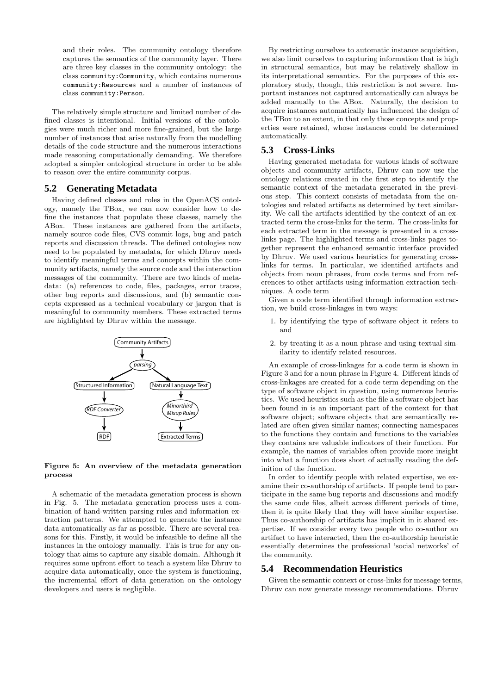and their roles. The community ontology therefore captures the semantics of the community layer. There are three key classes in the community ontology: the class community:Community, which contains numerous community:Resources and a number of instances of class community:Person.

The relatively simple structure and limited number of defined classes is intentional. Initial versions of the ontologies were much richer and more fine-grained, but the large number of instances that arise naturally from the modelling details of the code structure and the numerous interactions made reasoning computationally demanding. We therefore adopted a simpler ontological structure in order to be able to reason over the entire community corpus.

### **5.2 Generating Metadata**

Having defined classes and roles in the OpenACS ontology, namely the TBox, we can now consider how to define the instances that populate these classes, namely the ABox. These instances are gathered from the artifacts, namely source code files, CVS commit logs, bug and patch reports and discussion threads. The defined ontologies now need to be populated by metadata, for which Dhruv needs to identify meaningful terms and concepts within the community artifacts, namely the source code and the interaction messages of the community. There are two kinds of metadata: (a) references to code, files, packages, error traces, other bug reports and discussions, and (b) semantic concepts expressed as a technical vocabulary or jargon that is meaningful to community members. These extracted terms are highlighted by Dhruv within the message.



### Figure 5: An overview of the metadata generation process

A schematic of the metadata generation process is shown in Fig. 5. The metadata generation process uses a combination of hand-written parsing rules and information extraction patterns. We attempted to generate the instance data automatically as far as possible. There are several reasons for this. Firstly, it would be infeasible to define all the instances in the ontology manually. This is true for any ontology that aims to capture any sizable domain. Although it requires some upfront effort to teach a system like Dhruv to acquire data automatically, once the system is functioning, the incremental effort of data generation on the ontology developers and users is negligible.

By restricting ourselves to automatic instance acquisition, we also limit ourselves to capturing information that is high in structural semantics, but may be relatively shallow in its interpretational semantics. For the purposes of this exploratory study, though, this restriction is not severe. Important instances not captured automatically can always be added manually to the ABox. Naturally, the decision to acquire instances automatically has influenced the design of the TBox to an extent, in that only those concepts and properties were retained, whose instances could be determined automatically.

# **5.3 Cross-Links**

Having generated metadata for various kinds of software objects and community artifacts, Dhruv can now use the ontology relations created in the first step to identify the semantic context of the metadata generated in the previous step. This context consists of metadata from the ontologies and related artifacts as determined by text similarity. We call the artifacts identified by the context of an extracted term the cross-links for the term. The cross-links for each extracted term in the message is presented in a crosslinks page. The highlighted terms and cross-links pages together represent the enhanced semantic interface provided by Dhruv. We used various heuristics for generating crosslinks for terms. In particular, we identified artifacts and objects from noun phrases, from code terms and from references to other artifacts using information extraction techniques. A code term

Given a code term identified through information extraction, we build cross-linkages in two ways:

- 1. by identifying the type of software object it refers to and
- 2. by treating it as a noun phrase and using textual similarity to identify related resources.

An example of cross-linkages for a code term is shown in Figure 3 and for a noun phrase in Figure 4. Different kinds of cross-linkages are created for a code term depending on the type of software object in question, using numerous heuristics. We used heuristics such as the file a software object has been found in is an important part of the context for that software object; software objects that are semantically related are often given similar names; connecting namespaces to the functions they contain and functions to the variables they contains are valuable indicators of their function. For example, the names of variables often provide more insight into what a function does short of actually reading the definition of the function.

In order to identify people with related expertise, we examine their co-authorship of artifacts. If people tend to participate in the same bug reports and discussions and modify the same code files, albeit across different periods of time, then it is quite likely that they will have similar expertise. Thus co-authorship of artifacts has implicit in it shared expertise. If we consider every two people who co-author an artifact to have interacted, then the co-authorship heuristic essentially determines the professional 'social networks' of the community.

### **5.4 Recommendation Heuristics**

Given the semantic context or cross-links for message terms, Dhruv can now generate message recommendations. Dhruv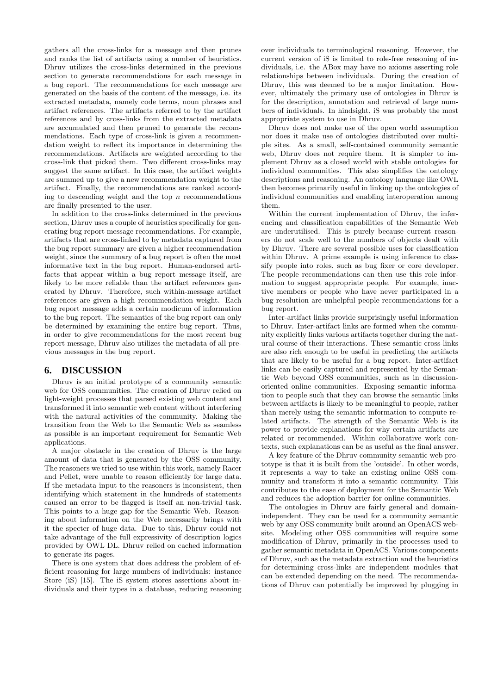gathers all the cross-links for a message and then prunes and ranks the list of artifacts using a number of heuristics. Dhruv utilizes the cross-links determined in the previous section to generate recommendations for each message in a bug report. The recommendations for each message are generated on the basis of the content of the message, i.e. its extracted metadata, namely code terms, noun phrases and artifact references. The artifacts referred to by the artifact references and by cross-links from the extracted metadata are accumulated and then pruned to generate the recommendations. Each type of cross-link is given a recommendation weight to reflect its importance in determining the recommendations. Artifacts are weighted according to the cross-link that picked them. Two different cross-links may suggest the same artifact. In this case, the artifact weights are summed up to give a new recommendation weight to the artifact. Finally, the recommendations are ranked according to descending weight and the top  $n$  recommendations are finally presented to the user.

In addition to the cross-links determined in the previous section, Dhruv uses a couple of heuristics specifically for generating bug report message recommendations. For example, artifacts that are cross-linked to by metadata captured from the bug report summary are given a higher recommendation weight, since the summary of a bug report is often the most informative text in the bug report. Human-endorsed artifacts that appear within a bug report message itself, are likely to be more reliable than the artifact references generated by Dhruv. Therefore, such within-message artifact references are given a high recommendation weight. Each bug report message adds a certain modicum of information to the bug report. The semantics of the bug report can only be determined by examining the entire bug report. Thus, in order to give recommendations for the most recent bug report message, Dhruv also utilizes the metadata of all previous messages in the bug report.

# **6. DISCUSSION**

Dhruv is an initial prototype of a community semantic web for OSS communities. The creation of Dhruv relied on light-weight processes that parsed existing web content and transformed it into semantic web content without interfering with the natural activities of the community. Making the transition from the Web to the Semantic Web as seamless as possible is an important requirement for Semantic Web applications.

A major obstacle in the creation of Dhruv is the large amount of data that is generated by the OSS community. The reasoners we tried to use within this work, namely Racer and Pellet, were unable to reason efficiently for large data. If the metadata input to the reasoners is inconsistent, then identifying which statement in the hundreds of statements caused an error to be flagged is itself an non-trivial task. This points to a huge gap for the Semantic Web. Reasoning about information on the Web necessarily brings with it the specter of huge data. Due to this, Dhruv could not take advantage of the full expressivity of description logics provided by OWL DL. Dhruv relied on cached information to generate its pages.

There is one system that does address the problem of efficient reasoning for large numbers of individuals: instance Store (iS) [15]. The iS system stores assertions about individuals and their types in a database, reducing reasoning over individuals to terminological reasoning. However, the current version of iS is limited to role-free reasoning of individuals, i.e. the ABox may have no axioms asserting role relationships between individuals. During the creation of Dhruv, this was deemed to be a major limitation. However, ultimately the primary use of ontologies in Dhruv is for the description, annotation and retrieval of large numbers of individuals. In hindsight, iS was probably the most appropriate system to use in Dhruv.

Dhruv does not make use of the open world assumption nor does it make use of ontologies distributed over multiple sites. As a small, self-contained community semantic web, Dhruv does not require them. It is simpler to implement Dhruv as a closed world with stable ontologies for individual communities. This also simplifies the ontology descriptions and reasoning. An ontology language like OWL then becomes primarily useful in linking up the ontologies of individual communities and enabling interoperation among them.

Within the current implementation of Dhruv, the inferencing and classification capabilities of the Semantic Web are underutilised. This is purely because current reasoners do not scale well to the numbers of objects dealt with by Dhruv. There are several possible uses for classification within Dhruv. A prime example is using inference to classify people into roles, such as bug fixer or core developer. The people recommendations can then use this role information to suggest appropriate people. For example, inactive members or people who have never participated in a bug resolution are unhelpful people recommendations for a bug report.

Inter-artifact links provide surprisingly useful information to Dhruv. Inter-artifact links are formed when the community explicitly links various artifacts together during the natural course of their interactions. These semantic cross-links are also rich enough to be useful in predicting the artifacts that are likely to be useful for a bug report. Inter-artifact links can be easily captured and represented by the Semantic Web beyond OSS communities, such as in discussionoriented online communities. Exposing semantic information to people such that they can browse the semantic links between artifacts is likely to be meaningful to people, rather than merely using the semantic information to compute related artifacts. The strength of the Semantic Web is its power to provide explanations for why certain artifacts are related or recommended. Within collaborative work contexts, such explanations can be as useful as the final answer.

A key feature of the Dhruv community semantic web prototype is that it is built from the 'outside'. In other words, it represents a way to take an existing online OSS community and transform it into a semantic community. This contributes to the ease of deployment for the Semantic Web and reduces the adoption barrier for online communities.

The ontologies in Dhruv are fairly general and domainindependent. They can be used for a community semantic web by any OSS community built around an OpenACS website. Modeling other OSS communities will require some modification of Dhruv, primarily in the processes used to gather semantic metadata in OpenACS. Various components of Dhruv, such as the metadata extraction and the heuristics for determining cross-links are independent modules that can be extended depending on the need. The recommendations of Dhruv can potentially be improved by plugging in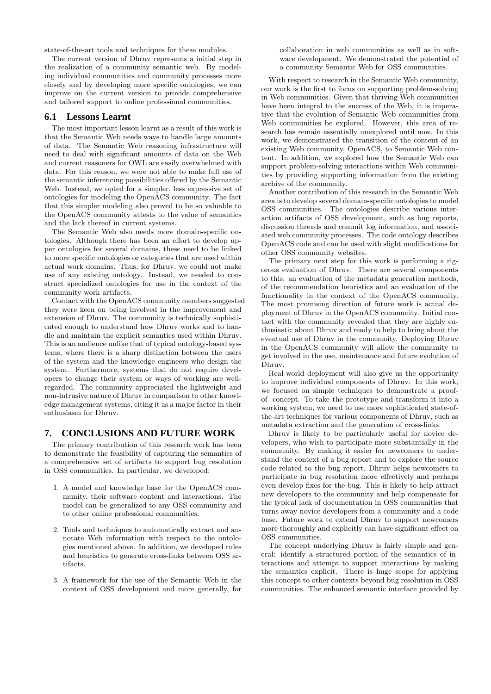state-of-the-art tools and techniques for these modules.

The current version of Dhruv represents a initial step in the realization of a community semantic web. By modeling individual communities and community processes more closely and by developing more specific ontologies, we can improve on the current version to provide comprehensive and tailored support to online professional communities.

### **6.1 Lessons Learnt**

The most important lesson learnt as a result of this work is that the Semantic Web needs ways to handle large amounts of data. The Semantic Web reasoning infrastructure will need to deal with significant amounts of data on the Web and current reasoners for OWL are easily overwhelmed with data. For this reason, we were not able to make full use of the semantic inferencing possibilities offered by the Semantic Web. Instead, we opted for a simpler, less expressive set of ontologies for modeling the OpenACS community. The fact that this simpler modeling also proved to be so valuable to the OpenACS community attests to the value of semantics and the lack thereof in current systems.

The Semantic Web also needs more domain-specific ontologies. Although there has been an effort to develop upper ontologies for several domains, these need to be linked to more specific ontologies or categories that are used within actual work domains. Thus, for Dhruv, we could not make use of any existing ontology. Instead, we needed to construct specialized ontologies for use in the context of the community work artifacts.

Contact with the OpenACS community members suggested they were keen on being involved in the improvement and extension of Dhruv. The community is technically sophisticated enough to understand how Dhruv works and to handle and maintain the explicit semantics used within Dhruv. This is an audience unlike that of typical ontology-based systems, where there is a sharp distinction between the users of the system and the knowledge engineers who design the system. Furthermore, systems that do not require developers to change their system or ways of working are wellregarded. The community appreciated the lightweight and non-intrusive nature of Dhruv in comparison to other knowledge management systems, citing it as a major factor in their enthusiasm for Dhruv.

# **7. CONCLUSIONS AND FUTURE WORK**

The primary contribution of this research work has been to demonstrate the feasibility of capturing the semantics of a comprehensive set of artifacts to support bug resolution in OSS communities. In particular, we developed:

- 1. A model and knowledge base for the OpenACS community, their software content and interactions. The model can be generalized to any OSS community and to other online professional communities.
- 2. Tools and techniques to automatically extract and annotate Web information with respect to the ontologies mentioned above. In addition, we developed rules and heuristics to generate cross-links between OSS artifacts.
- 3. A framework for the use of the Semantic Web in the context of OSS development and more generally, for

collaboration in web communities as well as in software development. We demonstrated the potential of a community Semantic Web for OSS communities.

With respect to research in the Semantic Web community, our work is the first to focus on supporting problem-solving in Web communities. Given that thriving Web communities have been integral to the success of the Web, it is imperative that the evolution of Semantic Web communities from Web communities be explored. However, this area of research has remain essentially unexplored until now. In this work, we demonstrated the transition of the content of an existing Web community, OpenACS, to Semantic Web content. In addition, we explored how the Semantic Web can support problem-solving interactions within Web communities by providing supporting information from the existing archive of the community.

Another contribution of this research in the Semantic Web area is to develop several domain-specific ontologies to model OSS communities. The ontologies describe various interaction artifacts of OSS development, such as bug reports, discussion threads and commit log information, and associated web community processes. The code ontology describes OpenACS code and can be used with slight modifications for other OSS community websites.

The primary next step for this work is performing a rigorous evaluation of Dhruv. There are several components to this: an evaluation of the metadata generation methods, of the recommendation heuristics and an evaluation of the functionality in the context of the OpenACS community. The most promising direction of future work is actual deployment of Dhruv in the OpenACS community. Initial contact with the community revealed that they are highly enthusiastic about Dhruv and ready to help to bring about the eventual use of Dhruv in the community. Deploying Dhruv in the OpenACS community will allow the community to get involved in the use, maintenance and future evolution of Dhruv.

Real-world deployment will also give us the opportunity to improve individual components of Dhruv. In this work, we focused on simple techniques to demonstrate a proofof- concept. To take the prototype and transform it into a working system, we need to use more sophisticated state-ofthe-art techniques for various components of Dhruv, such as metadata extraction and the generation of cross-links.

Dhruv is likely to be particularly useful for novice developers, who wish to participate more substantially in the community. By making it easier for newcomers to understand the context of a bug report and to explore the source code related to the bug report, Dhruv helps newcomers to participate in bug resolution more effectively and perhaps even develop fixes for the bug. This is likely to help attract new developers to the community and help compensate for the typical lack of documentation in OSS communities that turns away novice developers from a community and a code base. Future work to extend Dhruv to support newcomers more thoroughly and explicitly can have significant effect on OSS communities.

The concept underlying Dhruv is fairly simple and general: identify a structured portion of the semantics of interactions and attempt to support interactions by making the semantics explicit. There is huge scope for applying this concept to other contexts beyond bug resolution in OSS communities. The enhanced semantic interface provided by